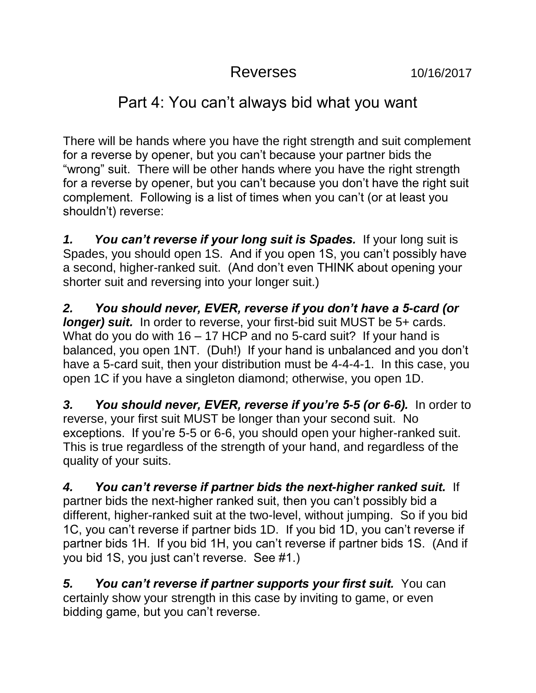## Reverses 10/16/2017

## Part 4: You can't always bid what you want

There will be hands where you have the right strength and suit complement for a reverse by opener, but you can't because your partner bids the "wrong" suit. There will be other hands where you have the right strength for a reverse by opener, but you can't because you don't have the right suit complement. Following is a list of times when you can't (or at least you shouldn't) reverse:

*1. You can't reverse if your long suit is Spades.* If your long suit is Spades, you should open 1S. And if you open 1S, you can't possibly have a second, higher-ranked suit. (And don't even THINK about opening your shorter suit and reversing into your longer suit.)

*2. You should never, EVER, reverse if you don't have a 5-card (or longer)* suit. In order to reverse, your first-bid suit MUST be 5+ cards. What do you do with 16 – 17 HCP and no 5-card suit? If your hand is balanced, you open 1NT. (Duh!) If your hand is unbalanced and you don't have a 5-card suit, then your distribution must be 4-4-4-1. In this case, you open 1C if you have a singleton diamond; otherwise, you open 1D.

*3. You should never, EVER, reverse if you're 5-5 (or 6-6).* In order to reverse, your first suit MUST be longer than your second suit. No exceptions. If you're 5-5 or 6-6, you should open your higher-ranked suit. This is true regardless of the strength of your hand, and regardless of the quality of your suits.

*4. You can't reverse if partner bids the next-higher ranked suit.* If partner bids the next-higher ranked suit, then you can't possibly bid a different, higher-ranked suit at the two-level, without jumping. So if you bid 1C, you can't reverse if partner bids 1D. If you bid 1D, you can't reverse if partner bids 1H. If you bid 1H, you can't reverse if partner bids 1S. (And if you bid 1S, you just can't reverse. See #1.)

*5. You can't reverse if partner supports your first suit.* You can certainly show your strength in this case by inviting to game, or even bidding game, but you can't reverse.